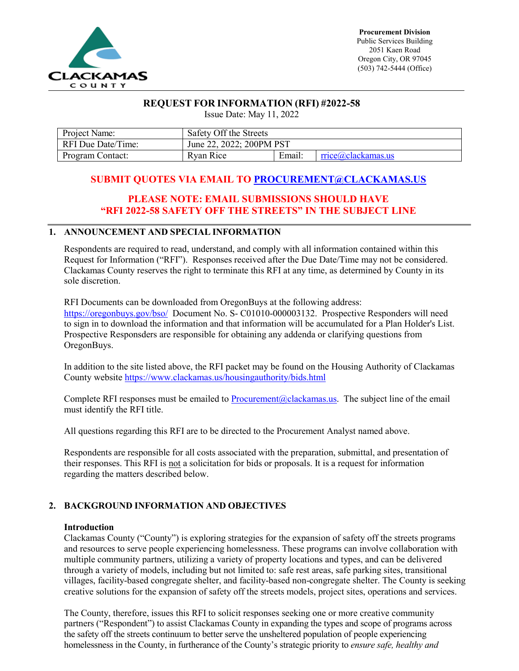

## **REQUEST FOR INFORMATION (RFI) #2022-58**

Issue Date: May 11, 2022

| Project Name:      | Safety Off the Streets   |        |                   |  |  |
|--------------------|--------------------------|--------|-------------------|--|--|
| RFI Due Date/Time: | June 22, 2022; 200PM PST |        |                   |  |  |
| Program Contact:   | Ryan Rice                | Email: | rice@clackamas.us |  |  |

# **SUBMIT QUOTES VIA EMAIL TO [PROCUREMENT@CLACKAMAS.US](mailto:Procurement@clackamas.us)**

# **PLEASE NOTE: EMAIL SUBMISSIONS SHOULD HAVE "RFI 2022-58 SAFETY OFF THE STREETS" IN THE SUBJECT LINE**

## **1. ANNOUNCEMENT AND SPECIAL INFORMATION**

Respondents are required to read, understand, and comply with all information contained within this Request for Information ("RFI"). Responses received after the Due Date/Time may not be considered. Clackamas County reserves the right to terminate this RFI at any time, as determined by County in its sole discretion.

RFI Documents can be downloaded from OregonBuys at the following address: <https://oregonbuys.gov/bso/>Document No. S- C01010-000003132. Prospective Responders will need to sign in to download the information and that information will be accumulated for a Plan Holder's List. Prospective Responsders are responsible for obtaining any addenda or clarifying questions from OregonBuys.

In addition to the site listed above, the RFI packet may be found on the Housing Authority of Clackamas County website<https://www.clackamas.us/housingauthority/bids.html>

Complete RFI responses must be emailed to **Procurement** (@clackamas.us. The subject line of the email must identify the RFI title.

All questions regarding this RFI are to be directed to the Procurement Analyst named above.

Respondents are responsible for all costs associated with the preparation, submittal, and presentation of their responses. This RFI is not a solicitation for bids or proposals. It is a request for information regarding the matters described below.

## **2. BACKGROUND INFORMATION AND OBJECTIVES**

### **Introduction**

Clackamas County ("County") is exploring strategies for the expansion of safety off the streets programs and resources to serve people experiencing homelessness. These programs can involve collaboration with multiple community partners, utilizing a variety of property locations and types, and can be delivered through a variety of models, including but not limited to: safe rest areas, safe parking sites, transitional villages, facility-based congregate shelter, and facility-based non-congregate shelter. The County is seeking creative solutions for the expansion of safety off the streets models, project sites, operations and services.

The County, therefore, issues this RFI to solicit responses seeking one or more creative community partners ("Respondent") to assist Clackamas County in expanding the types and scope of programs across the safety off the streets continuum to better serve the unsheltered population of people experiencing homelessness in the County, in furtherance of the County's strategic priority to *ensure safe, healthy and*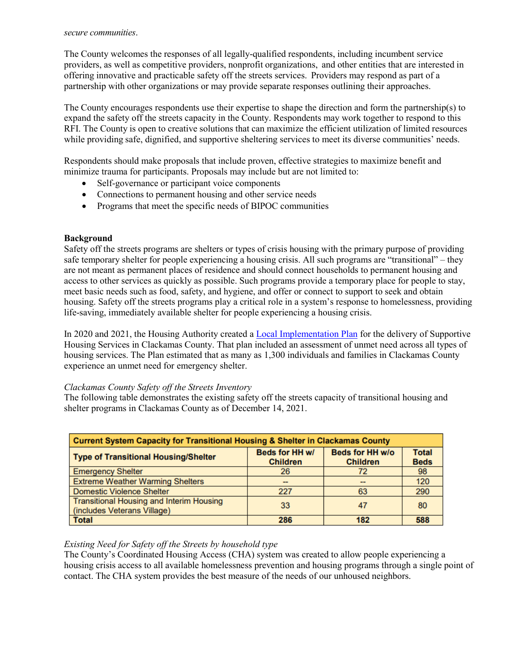#### *secure communities*.

The County welcomes the responses of all legally-qualified respondents, including incumbent service providers, as well as competitive providers, nonprofit organizations, and other entities that are interested in offering innovative and practicable safety off the streets services. Providers may respond as part of a partnership with other organizations or may provide separate responses outlining their approaches.

The County encourages respondents use their expertise to shape the direction and form the partnership(s) to expand the safety off the streets capacity in the County. Respondents may work together to respond to this RFI. The County is open to creative solutions that can maximize the efficient utilization of limited resources while providing safe, dignified, and supportive sheltering services to meet its diverse communities' needs.

Respondents should make proposals that include proven, effective strategies to maximize benefit and minimize trauma for participants. Proposals may include but are not limited to:

- Self-governance or participant voice components
- Connections to permanent housing and other service needs
- Programs that meet the specific needs of BIPOC communities

### **Background**

Safety off the streets programs are shelters or types of crisis housing with the primary purpose of providing safe temporary shelter for people experiencing a housing crisis. All such programs are "transitional" – they are not meant as permanent places of residence and should connect households to permanent housing and access to other services as quickly as possible. Such programs provide a temporary place for people to stay, meet basic needs such as food, safety, and hygiene, and offer or connect to support to seek and obtain housing. Safety off the streets programs play a critical role in a system's response to homelessness, providing life-saving, immediately available shelter for people experiencing a housing crisis.

In 2020 and 2021, the Housing Authority created a [Local Implementation Plan](https://dochub.clackamas.us/documents/drupal/72f5e8e7-d1b9-4fc5-bb11-2877a9934363) for the delivery of Supportive Housing Services in Clackamas County. That plan included an assessment of unmet need across all types of housing services. The Plan estimated that as many as 1,300 individuals and families in Clackamas County experience an unmet need for emergency shelter.

### *Clackamas County Safety off the Streets Inventory*

The following table demonstrates the existing safety off the streets capacity of transitional housing and shelter programs in Clackamas County as of December 14, 2021.

| <b>Current System Capacity for Transitional Housing &amp; Shelter in Clackamas County</b> |                                   |                                    |                             |  |  |  |
|-------------------------------------------------------------------------------------------|-----------------------------------|------------------------------------|-----------------------------|--|--|--|
| <b>Type of Transitional Housing/Shelter</b>                                               | Beds for HH w/<br><b>Children</b> | Beds for HH w/o<br><b>Children</b> | <b>Total</b><br><b>Beds</b> |  |  |  |
| <b>Emergency Shelter</b>                                                                  | 26                                | 72                                 | 98                          |  |  |  |
| <b>Extreme Weather Warming Shelters</b>                                                   | --                                | $-$                                | 120                         |  |  |  |
| <b>Domestic Violence Shelter</b>                                                          | 227                               | 63                                 | 290                         |  |  |  |
| <b>Transitional Housing and Interim Housing</b><br>(includes Veterans Village)            | 33                                | 47                                 | 80                          |  |  |  |
| <b>Total</b>                                                                              | 286                               | 182                                | 588                         |  |  |  |

### *Existing Need for Safety off the Streets by household type*

The County's Coordinated Housing Access (CHA) system was created to allow people experiencing a housing crisis access to all available homelessness prevention and housing programs through a single point of contact. The CHA system provides the best measure of the needs of our unhoused neighbors.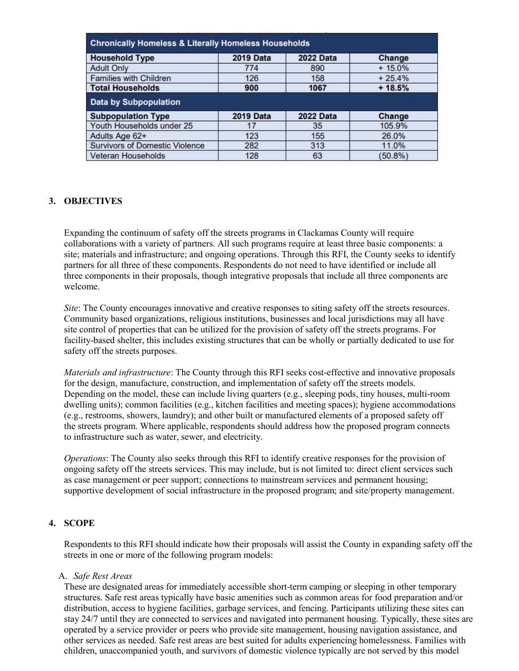| <b>Chronically Homeless &amp; Literally Homeless Households</b> |                  |                  |          |  |  |  |  |
|-----------------------------------------------------------------|------------------|------------------|----------|--|--|--|--|
| <b>Household Type</b>                                           | <b>2019 Data</b> | <b>2022 Data</b> | Change   |  |  |  |  |
| <b>Adult Only</b>                                               | 774              | 890              | $+15.0%$ |  |  |  |  |
| <b>Families with Children</b>                                   | 126              | 158              | $+25.4%$ |  |  |  |  |
| <b>Total Households</b>                                         | 900              | 1067             | $+18.5%$ |  |  |  |  |
| <b>Data by Subpopulation</b>                                    |                  |                  |          |  |  |  |  |
| <b>Subpopulation Type</b>                                       | <b>2019 Data</b> | <b>2022 Data</b> | Change   |  |  |  |  |
| Youth Households under 25                                       | 17               | 35               | 105.9%   |  |  |  |  |
| Adults Age 62+                                                  | 123              | 155              | 26.0%    |  |  |  |  |
| <b>Survivors of Domestic Violence</b>                           | 282              | 313              | 11.0%    |  |  |  |  |
| <b>Veteran Households</b>                                       | 128              | 63               | (50.8%)  |  |  |  |  |

### **3. OBJECTIVES**

Expanding the continuum of safety off the streets programs in Clackamas County will require collaborations with a variety of partners. All such programs require at least three basic components: a site; materials and infrastructure; and ongoing operations. Through this RFI, the County seeks to identify partners for all three of these components. Respondents do not need to have identified or include all three components in their proposals, though integrative proposals that include all three components are welcome.

*Site*: The County encourages innovative and creative responses to siting safety off the streets resources. Community based organizations, religious institutions, businesses and local jurisdictions may all have site control of properties that can be utilized for the provision of safety off the streets programs. For facility-based shelter, this includes existing structures that can be wholly or partially dedicated to use for safety off the streets purposes.

*Materials and infrastructure*: The County through this RFI seeks cost-effective and innovative proposals for the design, manufacture, construction, and implementation of safety off the streets models. Depending on the model, these can include living quarters (e.g., sleeping pods, tiny houses, multi-room dwelling units); common facilities (e.g., kitchen facilities and meeting spaces); hygiene accommodations (e.g., restrooms, showers, laundry); and other built or manufactured elements of a proposed safety off the streets program. Where applicable, respondents should address how the proposed program connects to infrastructure such as water, sewer, and electricity.

*Operations*: The County also seeks through this RFI to identify creative responses for the provision of ongoing safety off the streets services. This may include, but is not limited to: direct client services such as case management or peer support; connections to mainstream services and permanent housing; supportive development of social infrastructure in the proposed program; and site/property management.

### **4. SCOPE**

Respondents to this RFI should indicate how their proposals will assist the County in expanding safety off the streets in one or more of the following program models:

#### A. *Safe Rest Areas*

These are designated areas for immediately accessible short-term camping or sleeping in other temporary structures. Safe rest areas typically have basic amenities such as common areas for food preparation and/or distribution, access to hygiene facilities, garbage services, and fencing. Participants utilizing these sites can stay 24/7 until they are connected to services and navigated into permanent housing. Typically, these sites are operated by a service provider or peers who provide site management, housing navigation assistance, and other services as needed. Safe rest areas are best suited for adults experiencing homelessness. Families with children, unaccompanied youth, and survivors of domestic violence typically are not served by this model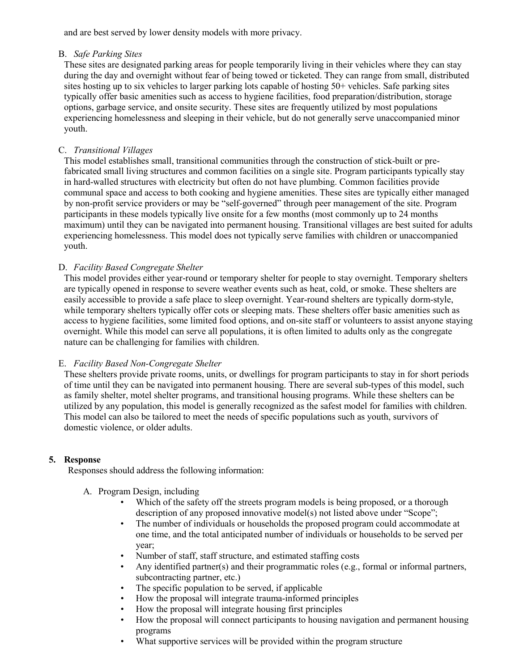and are best served by lower density models with more privacy.

## B. *Safe Parking Sites*

These sites are designated parking areas for people temporarily living in their vehicles where they can stay during the day and overnight without fear of being towed or ticketed. They can range from small, distributed sites hosting up to six vehicles to larger parking lots capable of hosting 50+ vehicles. Safe parking sites typically offer basic amenities such as access to hygiene facilities, food preparation/distribution, storage options, garbage service, and onsite security. These sites are frequently utilized by most populations experiencing homelessness and sleeping in their vehicle, but do not generally serve unaccompanied minor youth.

## C. *Transitional Villages*

This model establishes small, transitional communities through the construction of stick-built or prefabricated small living structures and common facilities on a single site. Program participants typically stay in hard-walled structures with electricity but often do not have plumbing. Common facilities provide communal space and access to both cooking and hygiene amenities. These sites are typically either managed by non-profit service providers or may be "self-governed" through peer management of the site. Program participants in these models typically live onsite for a few months (most commonly up to 24 months maximum) until they can be navigated into permanent housing. Transitional villages are best suited for adults experiencing homelessness. This model does not typically serve families with children or unaccompanied youth.

## D. *Facility Based Congregate Shelter*

This model provides either year-round or temporary shelter for people to stay overnight. Temporary shelters are typically opened in response to severe weather events such as heat, cold, or smoke. These shelters are easily accessible to provide a safe place to sleep overnight. Year-round shelters are typically dorm-style, while temporary shelters typically offer cots or sleeping mats. These shelters offer basic amenities such as access to hygiene facilities, some limited food options, and on-site staff or volunteers to assist anyone staying overnight. While this model can serve all populations, it is often limited to adults only as the congregate nature can be challenging for families with children.

## E. *Facility Based Non-Congregate Shelter*

These shelters provide private rooms, units, or dwellings for program participants to stay in for short periods of time until they can be navigated into permanent housing. There are several sub-types of this model, such as family shelter, motel shelter programs, and transitional housing programs. While these shelters can be utilized by any population, this model is generally recognized as the safest model for families with children. This model can also be tailored to meet the needs of specific populations such as youth, survivors of domestic violence, or older adults.

## **5. Response**

Responses should address the following information:

- A. Program Design, including
	- Which of the safety off the streets program models is being proposed, or a thorough description of any proposed innovative model(s) not listed above under "Scope";
	- The number of individuals or households the proposed program could accommodate at one time, and the total anticipated number of individuals or households to be served per year;
	- Number of staff, staff structure, and estimated staffing costs
	- Any identified partner(s) and their programmatic roles (e.g., formal or informal partners, subcontracting partner, etc.)
	- The specific population to be served, if applicable
	- How the proposal will integrate trauma-informed principles
	- How the proposal will integrate housing first principles
	- How the proposal will connect participants to housing navigation and permanent housing programs
	- What supportive services will be provided within the program structure